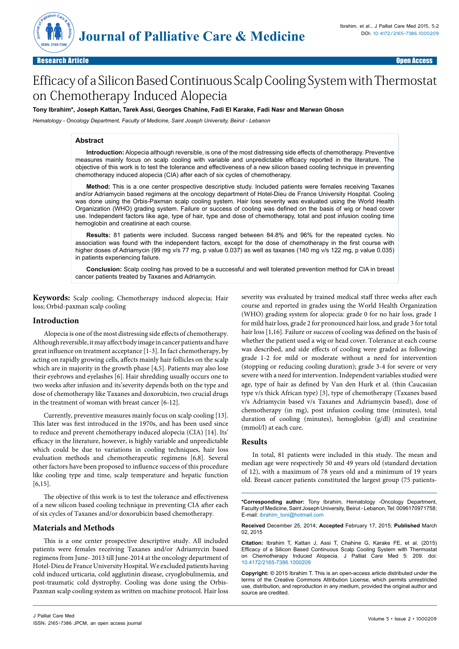

# Efficacy of a Silicon Based Continuous Scalp Cooling System with Thermostat on Chemotherapy Induced Alopecia

## **Tony Ibrahim\*, Joseph Kattan, Tarek Assi, Georges Chahine, Fadi El Karake, Fadi Nasr and Marwan Ghosn**

*Hematology - Oncology Department, Faculty of Medicine, Saint Joseph University, Beirut - Lebanon*

### **Abstract**

**Introduction:** Alopecia although reversible, is one of the most distressing side effects of chemotherapy. Preventive measures mainly focus on scalp cooling with variable and unpredictable efficacy reported in the literature. The objective of this work is to test the tolerance and effectiveness of a new silicon based cooling technique in preventing chemotherapy induced alopecia (CIA) after each of six cycles of chemotherapy.

**Method:** This is a one center prospective descriptive study. Included patients were females receiving Taxanes and/or Adriamycin based regimens at the oncology department of Hotel-Dieu de France University Hospital. Cooling was done using the Orbis-Paxman scalp cooling system. Hair loss severity was evaluated using the World Health Organization (WHO) grading system. Failure or success of cooling was defined on the basis of wig or head cover use. Independent factors like age, type of hair, type and dose of chemotherapy, total and post infusion cooling time hemoglobin and creatinine at each course.

**Results:** 81 patients were included. Success ranged between 84.8% and 96% for the repeated cycles. No association was found with the independent factors, except for the dose of chemotherapy in the first course with higher doses of Adriamycin (99 mg v/s 77 mg, p value 0.037) as well as taxanes (140 mg v/s 122 mg, p value 0.035) in patients experiencing failure.

**Conclusion:** Scalp cooling has proved to be a successful and well tolerated prevention method for CIA in breast cancer patients treated by Taxanes and Adriamycin.

**Keywords:** Scalp cooling; Chemotherapy induced alopecia; Hair loss; Orbid-paxman scalp cooling

#### **Introduction**

Alopecia is one of the most distressing side effects of chemotherapy. Although reversible, it may affect body image in cancer patients and have great influence on treatment acceptance [1-3]. In fact chemotherapy, by acting on rapidly growing cells, affects mainly hair follicles on the scalp which are in majority in the growth phase [4,5]. Patients may also lose their eyebrows and eyelashes [6]. Hair shredding usually occurs one to two weeks after infusion and its'severity depends both on the type and dose of chemotherapy like Taxanes and doxorubicin, two crucial drugs in the treatment of woman with breast cancer [6-12].

Currently, preventive measures mainly focus on scalp cooling [13]. This later was first introduced in the 1970s, and has been used since to reduce and prevent chemotherapy induced alopecia (CIA) [14]. Its' efficacy in the literature, however, is highly variable and unpredictable which could be due to variations in cooling techniques, hair loss evaluation methods and chemotherapeutic regimens [6,8]. Several other factors have been proposed to influence success of this procedure like cooling type and time, scalp temperature and hepatic function [6,15].

The objective of this work is to test the tolerance and effectiveness of a new silicon based cooling technique in preventing CIA after each of six cycles of Taxanes and/or doxorubicin based chemotherapy.

#### **Materials and Methods**

This is a one center prospective descriptive study. All included patients were females receiving Taxanes and/or Adriamycin based regimens from June- 2013 till June-2014 at the oncology department of Hotel-Dieu de France University Hospital. We excluded patients having cold induced urticaria, cold agglutinin disease, cryoglobulinemia, and post-traumatic cold dystrophy. Cooling was done using the Orbis-Paxman scalp cooling system as written on machine protocol. Hair loss severity was evaluated by trained medical staff three weeks after each course and reported in grades using the World Health Organization (WHO) grading system for alopecia: grade 0 for no hair loss, grade 1 for mild hair loss, grade 2 for pronounced hair loss, and grade 3 for total hair loss [1,16]. Failure or success of cooling was defined on the basis of whether the patient used a wig or head cover. Tolerance at each course was described, and side effects of cooling were graded as following: grade 1-2 for mild or moderate without a need for intervention (stopping or reducing cooling duration); grade 3-4 for severe or very severe with a need for intervention. Independent variables studied were age, type of hair as defined by Van den Hurk et al. (thin Caucasian type v/s thick African type) [3], type of chemotherapy (Taxanes based v/s Adriamycin based v/s Taxanes and Adriamycin based), dose of chemotherapy (in mg), post infusion cooling time (minutes), total duration of cooling (minutes), hemoglobin (g/dl) and creatinine (mmol/l) at each cure.

#### **Results**

In total, 81 patients were included in this study. The mean and median age were respectively 50 and 49 years old (standard deviation of 12), with a maximum of 78 years old and a minimum of 19 years old. Breast cancer patients constituted the largest group (75 patients-

**\*Corresponding author:** Tony Ibrahim, Hematology -Oncology Department, Faculty of Medicine, Saint Joseph University, Beirut - Lebanon, Tel: 0096170971758; E-mail: ibrahim\_toni@hotmail.com

**Received** December 25, 2014; **Accepted** February 17, 2015; **Published** March 02, 2015

**Citation:** Ibrahim T, Kattan J, Assi T, Chahine G, Karake FE, et al. (2015) Efficacy of a Silicon Based Continuous Scalp Cooling System with Thermostat on Chemotherapy Induced Alopecia. J Palliat Care Med 5: 209. doi: 10.4172/2165-7386.1000209

**Copyright:** © 2015 Ibrahim T. This is an open-access article distributed under the terms of the Creative Commons Attribution License, which permits unrestricted use, distribution, and reproduction in any medium, provided the original author and source are credited.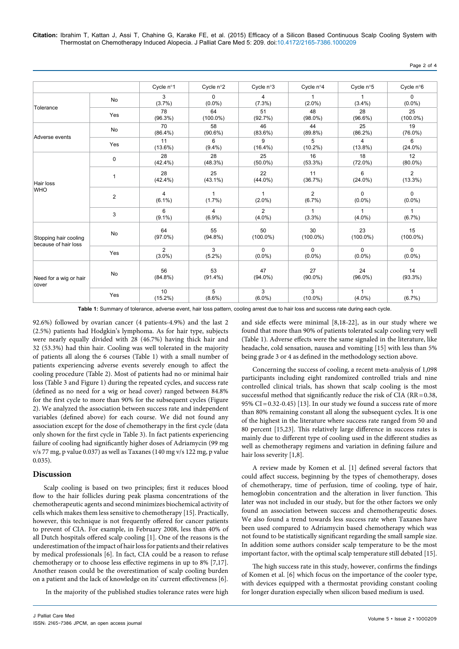**Citation:** Ibrahim T, Kattan J, Assi T, Chahine G, Karake FE, et al. (2015) Efficacy of a Silicon Based Continuous Scalp Cooling System with Thermostat on Chemotherapy Induced Alopecia. J Palliat Care Med 5: 209. doi:10.4172/2165-7386.1000209

|                                               |                         | Cycle n°1                   | Cycle n°2                   | Cycle n°3                 | Cycle n°4                   | Cycle n°5                    | Cycle n°6                    |
|-----------------------------------------------|-------------------------|-----------------------------|-----------------------------|---------------------------|-----------------------------|------------------------------|------------------------------|
| Tolerance                                     | No                      | 3<br>$(3.7\%)$              | $\mathbf 0$<br>$(0.0\%)$    | 4<br>$(7.3\%)$            | $(2.0\%)$                   | $(3.4\%)$                    | $\mathbf 0$<br>$(0.0\%)$     |
|                                               | Yes                     | 78<br>$(96.3\%)$            | 64<br>$(100.0\%)$           | 51<br>(92.7%)             | 48<br>$(98.0\%)$            | 28<br>$(96.6\%)$             | 25<br>$(100.0\%)$            |
| Adverse events                                | No                      | 70<br>$(86.4\%)$            | 58<br>$(90.6\%)$            | 46<br>$(83.6\%)$          | 44<br>(89.8%)               | 25<br>$(86.2\%)$             | 19<br>$(76.0\%)$             |
|                                               | Yes                     | 11<br>$(13.6\%)$            | 6<br>$(9.4\%)$              | 9<br>$(16.4\%)$           | 5<br>$(10.2\%)$             | $\overline{4}$<br>$(13.8\%)$ | 6<br>$(24.0\%)$              |
| Hair loss<br><b>WHO</b>                       | 0                       | 28<br>$(42.4\%)$            | 28<br>$(48.3\%)$            | 25<br>$(50.0\%)$          | 16<br>$(53.3\%)$            | 18<br>$(72.0\%)$             | 12<br>$(80.0\%)$             |
|                                               | 1                       | 28<br>$(42.4\%)$            | 25<br>$(43.1\%)$            | 22<br>$(44.0\%)$          | 11<br>(36.7%)               | 6<br>$(24.0\%)$              | $\overline{2}$<br>$(13.3\%)$ |
|                                               | $\overline{\mathbf{c}}$ | 4<br>$(6.1\%)$              | $\mathbf{1}$<br>$(1.7\%)$   | $\mathbf{1}$<br>$(2.0\%)$ | $\overline{2}$<br>$(6.7\%)$ | $\Omega$<br>$(0.0\%)$        | $\mathbf 0$<br>$(0.0\%)$     |
|                                               | 3                       | 6<br>$(9.1\%)$              | $\overline{4}$<br>$(6.9\%)$ | 2<br>$(4.0\%)$            | $\mathbf{1}$<br>$(3.3\%)$   | $\mathbf{1}$<br>$(4.0\%)$    | $\mathbf{1}$<br>$(6.7\%)$    |
| Stopping hair cooling<br>because of hair loss | No                      | 64<br>$(97.0\%)$            | 55<br>$(94.8\%)$            | 50<br>$(100.0\%)$         | 30<br>$(100.0\%)$           | 23<br>$(100.0\%)$            | 15<br>$(100.0\%)$            |
|                                               | Yes                     | $\overline{2}$<br>$(3.0\%)$ | 3<br>$(5.2\%)$              | $\Omega$<br>$(0.0\%)$     | $\Omega$<br>$(0.0\%)$       | $\Omega$<br>$(0.0\%)$        | $\Omega$<br>$(0.0\%)$        |
| Need for a wig or hair<br>cover               | No                      | 56<br>$(84.8\%)$            | 53<br>$(91.4\%)$            | 47<br>$(94.0\%)$          | 27<br>$(90.0\%)$            | 24<br>$(96.0\%)$             | 14<br>$(93.3\%)$             |
|                                               | Yes                     | 10<br>$(15.2\%)$            | 5<br>$(8.6\%)$              | 3<br>$(6.0\%)$            | 3<br>$(10.0\%)$             | $(4.0\%)$                    | $\mathbf{1}$<br>(6.7%)       |

**Table 1:** Summary of tolerance, adverse event, hair loss pattern, cooling arrest due to hair loss and success rate during each cycle.

92.6%) followed by ovarian cancer (4 patients-4.9%) and the last 2 (2.5%) patients had Hodgkin's lymphoma. As for hair type, subjects were nearly equally divided with 28 (46.7%) having thick hair and 32 (53.3%) had thin hair. Cooling was well tolerated in the majority of patients all along the 6 courses (Table 1) with a small number of patients experiencing adverse events severely enough to affect the cooling procedure (Table 2). Most of patients had no or minimal hair loss (Table 3 and Figure 1) during the repeated cycles, and success rate (defined as no need for a wig or head cover) ranged between 84.8% for the first cycle to more than 90% for the subsequent cycles (Figure 2). We analyzed the association between success rate and independent variables (defined above) for each course. We did not found any association except for the dose of chemotherapy in the first cycle (data only shown for the first cycle in Table 3). In fact patients experiencing failure of cooling had significantly higher doses of Adriamycin (99 mg v/s 77 mg, p value 0.037) as well as Taxanes (140 mg v/s 122 mg, p value 0.035).

## **Discussion**

Scalp cooling is based on two principles; first it reduces blood flow to the hair follicles during peak plasma concentrations of the chemotherapeutic agents and second minimizes biochemical activity of cells which makes them less sensitive to chemotherapy [15]. Practically, however, this technique is not frequently offered for cancer patients to prevent of CIA. For example, in February 2008, less than 40% of all Dutch hospitals offered scalp cooling [1]. One of the reasons is the underestimation of the impact of hair loss for patients and their relatives by medical professionals [6]. In fact, CIA could be a reason to refuse chemotherapy or to choose less effective regimens in up to 8% [7,17]. Another reason could be the overestimation of scalp cooling burden on a patient and the lack of knowledge on its' current effectiveness [6].

In the majority of the published studies tolerance rates were high

and side effects were minimal [8,18-22], as in our study where we found that more than 90% of patients tolerated scalp cooling very well (Table 1). Adverse effects were the same signaled in the literature, like headache, cold sensation, nausea and vomiting [15] with less than 5% being grade 3 or 4 as defined in the methodology section above.

Concerning the success of cooling, a recent meta-analysis of 1,098 participants including eight randomized controlled trials and nine controlled clinical trials, has shown that scalp cooling is the most successful method that significantly reduce the risk of CIA (RR=0.38, 95% CI=0.32-0.45) [13]. In our study we found a success rate of more than 80% remaining constant all along the subsequent cycles. It is one of the highest in the literature where success rate ranged from 50 and 80 percent [15,23]. This relatively large difference in success rates is mainly due to different type of cooling used in the different studies as well as chemotherapy regimens and variation in defining failure and hair loss severity [1,8].

A review made by Komen et al. [1] defined several factors that could affect success, beginning by the types of chemotherapy, doses of chemotherapy, time of perfusion, time of cooling, type of hair, hemoglobin concentration and the alteration in liver function. This later was not included in our study, but for the other factors we only found an association between success and chemotherapeutic doses. We also found a trend towards less success rate when Taxanes have been used compared to Adriamycin based chemotherapy which was not found to be statistically significant regarding the small sample size. In addition some authors consider scalp temperature to be the most important factor, with the optimal scalp temperature still debated [15].

The high success rate in this study, however, confirms the findings of Komen et al. [6] which focus on the importance of the cooler type, with devices equipped with a thermostat providing constant cooling for longer duration especially when silicon based medium is used.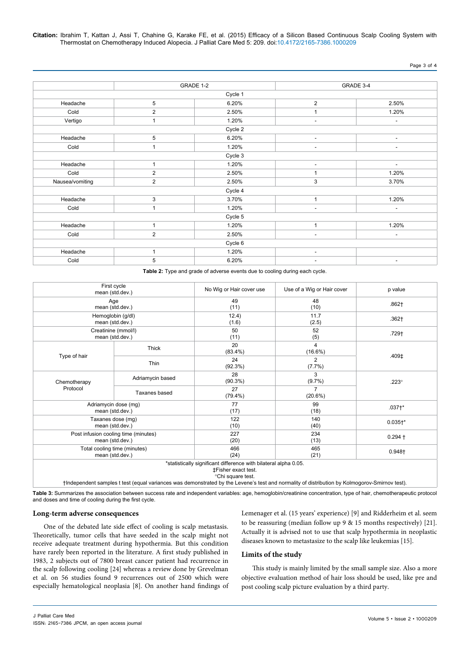**Citation:** Ibrahim T, Kattan J, Assi T, Chahine G, Karake FE, et al. (2015) Efficacy of a Silicon Based Continuous Scalp Cooling System with Thermostat on Chemotherapy Induced Alopecia. J Palliat Care Med 5: 209. doi:10.4172/2165-7386.1000209

Page 3 of 4

|                 |                         | GRADE 1-2 | GRADE 3-4                |                          |  |
|-----------------|-------------------------|-----------|--------------------------|--------------------------|--|
|                 |                         | Cycle 1   |                          |                          |  |
| Headache        | 5                       | 6.20%     | $\overline{\mathbf{c}}$  | 2.50%                    |  |
| Cold            | $\overline{2}$          | 2.50%     |                          | 1.20%                    |  |
| Vertigo         | 1                       | 1.20%     | ٠                        | $\overline{\phantom{a}}$ |  |
|                 |                         | Cycle 2   |                          |                          |  |
| Headache        | 5                       | 6.20%     | $\sim$                   | $\sim$                   |  |
| Cold            | 1                       | 1.20%     | ۰                        | $\overline{\phantom{a}}$ |  |
|                 |                         | Cycle 3   |                          |                          |  |
| Headache        | $\mathbf{1}$            | 1.20%     | $\overline{\phantom{a}}$ | $\overline{\phantom{a}}$ |  |
| Cold            | $\overline{\mathbf{c}}$ | 2.50%     | 1                        | 1.20%                    |  |
| Nausea/vomiting | $\overline{\mathbf{c}}$ | 2.50%     | 3                        | 3.70%                    |  |
|                 |                         | Cycle 4   |                          |                          |  |
| Headache        | 3                       | 3.70%     | $\mathbf{1}$             | 1.20%                    |  |
| Cold            | 1                       | 1.20%     | $\overline{\phantom{a}}$ | $\blacksquare$           |  |
|                 |                         | Cycle 5   |                          |                          |  |
| Headache        | $\mathbf{1}$            | 1.20%     | $\mathbf{1}$             | 1.20%                    |  |
| Cold            | $\overline{2}$          | 2.50%     | ٠                        | $\overline{\phantom{a}}$ |  |
|                 |                         | Cycle 6   |                          |                          |  |
| Headache        | $\mathbf{1}$            | 1.20%     | $\overline{\phantom{a}}$ |                          |  |
| Cold            | 5                       | 6.20%     | $\sim$                   | $\overline{\phantom{a}}$ |  |

**Table 2:** Type and grade of adverse events due to cooling during each cycle.

| First cycle<br>mean (std.dev.)          |                                                         | No Wig or Hair cover use                                                                                            | Use of a Wig or Hair cover                                                                                                            | p value      |  |
|-----------------------------------------|---------------------------------------------------------|---------------------------------------------------------------------------------------------------------------------|---------------------------------------------------------------------------------------------------------------------------------------|--------------|--|
| Age<br>mean (std.dev.)                  |                                                         | 49<br>(11)                                                                                                          | 48<br>(10)                                                                                                                            | $.862+$      |  |
| Hemoglobin (g/dl)<br>mean (std.dev.)    |                                                         | 12.4)<br>(1.6)                                                                                                      | 11.7<br>(2.5)                                                                                                                         | $.362+$      |  |
| Creatinine (mmol/l)<br>mean (std.dev.)  |                                                         | 50<br>(11)                                                                                                          | 52<br>(5)                                                                                                                             | .729†        |  |
|                                         | Thick                                                   | 20<br>$(83.4\%)$                                                                                                    | 4<br>$(16.6\%)$                                                                                                                       | .409‡        |  |
| Type of hair                            | Thin                                                    | 24<br>$(92.3\%)$                                                                                                    | 2<br>$(7.7\%)$                                                                                                                        |              |  |
| Chemotherapy                            | Adriamycin based                                        | 28<br>$(90.3\%)$                                                                                                    | 3<br>$(9.7\%)$                                                                                                                        | $.223^\circ$ |  |
| Protocol                                | Taxanes based                                           | 27<br>$(79.4\%)$                                                                                                    | $\overline{7}$<br>(20.6%)                                                                                                             |              |  |
| Adriamycin dose (mg)<br>mean (std.dev.) |                                                         | 77<br>(17)                                                                                                          | 99<br>(18)                                                                                                                            | $.037 +$ *   |  |
|                                         | Taxanes dose (mg)<br>mean (std.dev.)                    | 122<br>(10)                                                                                                         | 140<br>(40)                                                                                                                           | $0.035^{+*}$ |  |
|                                         | Post infusion cooling time (minutes)<br>mean (std.dev.) | 227<br>(20)                                                                                                         | 234<br>(13)                                                                                                                           | $0.294 +$    |  |
|                                         | Total cooling time (minutes)<br>mean (std.dev.)         | 466<br>(24)                                                                                                         | 465<br>(21)                                                                                                                           | $0.948 +$    |  |
|                                         |                                                         | *statistically significant difference with bilateral alpha 0.05.<br><b>‡Fisher exact test.</b><br>°Chi square test. | the dependent experience for the fundamental constanted butter for and real and permetter of distribution bu Melgeness (Anthony And A |              |  |

†Independent samples t test (equal variances was demonstrated by the Levene's test and normality of distribution by Kolmogorov-Smirnov test).

**Table 3:** Summarizes the association between success rate and independent variables: age, hemoglobin/creatinine concentration, type of hair, chemotherapeutic protocol and doses and time of cooling during the first cycle.

#### **Long-term adverse consequences**

One of the debated late side effect of cooling is scalp metastasis. Theoretically, tumor cells that have seeded in the scalp might not receive adequate treatment during hypothermia. But this condition have rarely been reported in the literature. A first study published in 1983, 2 subjects out of 7800 breast cancer patient had recurrence in the scalp following cooling [24] whereas a review done by Grevelman et al. on 56 studies found 9 recurrences out of 2500 which were especially hematological neoplasia [8]. On another hand findings of Lemenager et al. (15 years' experience) [9] and Ridderheim et al. seem to be reassuring (median follow up 9 & 15 months respectively) [21]. Actually it is advised not to use that scalp hypothermia in neoplastic diseases known to metastasize to the scalp like leukemias [15].

#### **Limits of the study**

This study is mainly limited by the small sample size. Also a more objective evaluation method of hair loss should be used, like pre and post cooling scalp picture evaluation by a third party.